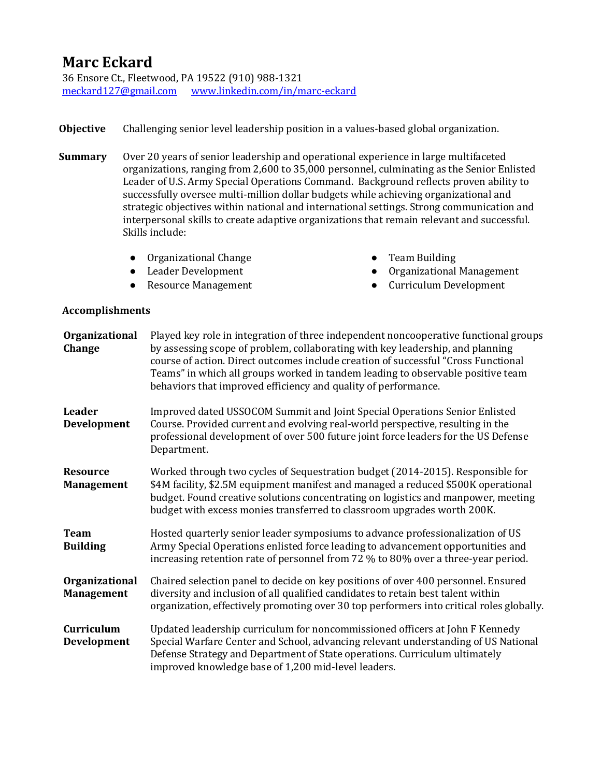## **Marc Eckard**

36 Ensore Ct., Fleetwood, PA 19522 (910) 988-1321 [meckard127@gmail.com](mailto:meckard127@gmail.com) [www.linkedin.com/in/marc-eckard](http://www.linkedin.com/in/marc-eckard)

- **Objective** Challenging senior level leadership position in a values-based global organization.
- **Summary** Over 20 years of senior leadership and operational experience in large multifaceted organizations, ranging from 2,600 to 35,000 personnel, culminating as the Senior Enlisted Leader of U.S. Army Special Operations Command. Background reflects proven ability to successfully oversee multi-million dollar budgets while achieving organizational and strategic objectives within national and international settings. Strong communication and interpersonal skills to create adaptive organizations that remain relevant and successful. Skills include:
	- Organizational Change Team Building
	-
	-
- 
- Leader Development → Organizational Management
- Resource Management → Curriculum Development

## **Accomplishments**

| Organizational<br>Change             | Played key role in integration of three independent noncooperative functional groups<br>by assessing scope of problem, collaborating with key leadership, and planning<br>course of action. Direct outcomes include creation of successful "Cross Functional<br>Teams" in which all groups worked in tandem leading to observable positive team<br>behaviors that improved efficiency and quality of performance. |
|--------------------------------------|-------------------------------------------------------------------------------------------------------------------------------------------------------------------------------------------------------------------------------------------------------------------------------------------------------------------------------------------------------------------------------------------------------------------|
| <b>Leader</b><br>Development         | Improved dated USSOCOM Summit and Joint Special Operations Senior Enlisted<br>Course. Provided current and evolving real-world perspective, resulting in the<br>professional development of over 500 future joint force leaders for the US Defense<br>Department.                                                                                                                                                 |
| <b>Resource</b><br><b>Management</b> | Worked through two cycles of Sequestration budget (2014-2015). Responsible for<br>\$4M facility, \$2.5M equipment manifest and managed a reduced \$500K operational<br>budget. Found creative solutions concentrating on logistics and manpower, meeting<br>budget with excess monies transferred to classroom upgrades worth 200K.                                                                               |
| <b>Team</b><br><b>Building</b>       | Hosted quarterly senior leader symposiums to advance professionalization of US<br>Army Special Operations enlisted force leading to advancement opportunities and<br>increasing retention rate of personnel from 72 % to 80% over a three-year period.                                                                                                                                                            |
| Organizational<br><b>Management</b>  | Chaired selection panel to decide on key positions of over 400 personnel. Ensured<br>diversity and inclusion of all qualified candidates to retain best talent within<br>organization, effectively promoting over 30 top performers into critical roles globally.                                                                                                                                                 |
| Curriculum<br>Development            | Updated leadership curriculum for noncommissioned officers at John F Kennedy<br>Special Warfare Center and School, advancing relevant understanding of US National<br>Defense Strategy and Department of State operations. Curriculum ultimately<br>improved knowledge base of 1,200 mid-level leaders.                                                                                                           |